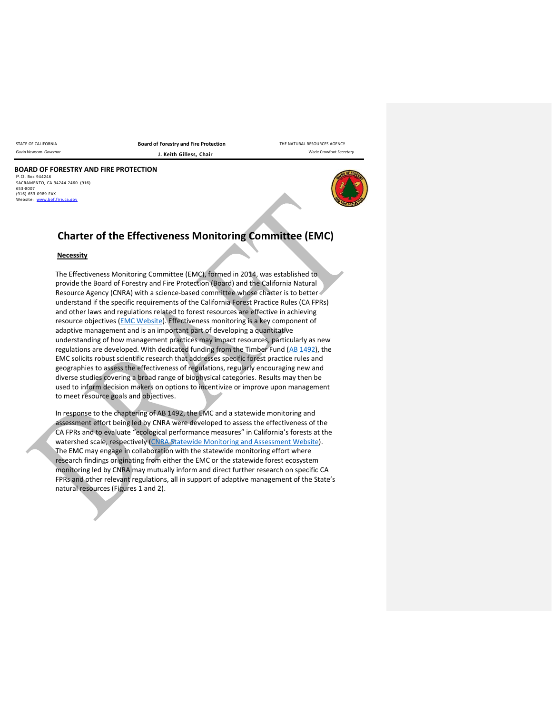STATE OF CALIFORNIA **Board of Forestry and Fire Protection** THE NATURAL RESOURCES AGENCY Gavin Newsom Governor **Covernor J. Keith Gilless, Chair Chair** Wade Crowfoot Secretary

#### **BOARD OF FORESTRY AND FIRE PROTECTION** P.O. Box 944246 SACRAMENTO, CA 94244-2460 (916) 653-8007

 $(916)$  653-0989 FAX<br>Website: www.boffil website: w



# **Charter of the Effectiveness Monitoring Committee (EMC)**

### **Necessity**

The Effectiveness Monitoring Committee (EMC), formed in 2014, was established to provide the Board of Forestry and Fire Protection (Board) and the California Natural Resource Agency (CNRA) with a science-based committee whose charter is to better understand if the specific requirements of the California Forest Practice Rules (CA FPRs) and other laws and regulations related to forest resources are effective in achieving resource objectives [\(EMC Website\)](https://bof.fire.ca.gov/board-committees/effectiveness-monitoring-committee/). Effectiveness monitoring is a key component of adaptive management and is an important part of developing a quantitative understanding of how management practices may impact resources, particularly as new regulations are developed. With dedicated funding from the Timber Fund [\(AB 1492\)](http://leginfo.legislature.ca.gov/faces/billNavClient.xhtml?bill_id=201120120AB1492&search_keywords=), the EMC solicits robust scientific research that addresses specific forest practice rules and geographies to assess the effectiveness of regulations, regularly encouraging new and diverse studies covering a broad range of biophysical categories. Results may then be used to inform decision makers on options to incentivize or improve upon management to meet resource goals and objectives.

In response to the chaptering of AB 1492, the EMC and a statewide monitoring and assessment effort being led by CNRA were developed to assess the effectiveness of the CA FPRs and to evaluate "ecological performance measures" in California's forests at the watershed scale, respectively [\(CNRA Statewide Monitoring and Assessment](https://resources.ca.gov/Initiatives/Forest-Stewardship/epm) Website). The EMC may engage in collaboration with the statewide monitoring effort where research findings originating from either the EMC or the statewide forest ecosystem monitoring led by CNRA may mutually inform and direct further research on specific CA FPRs and other relevant regulations, all in support of adaptive management of the State's natural resources (Figures 1 and 2).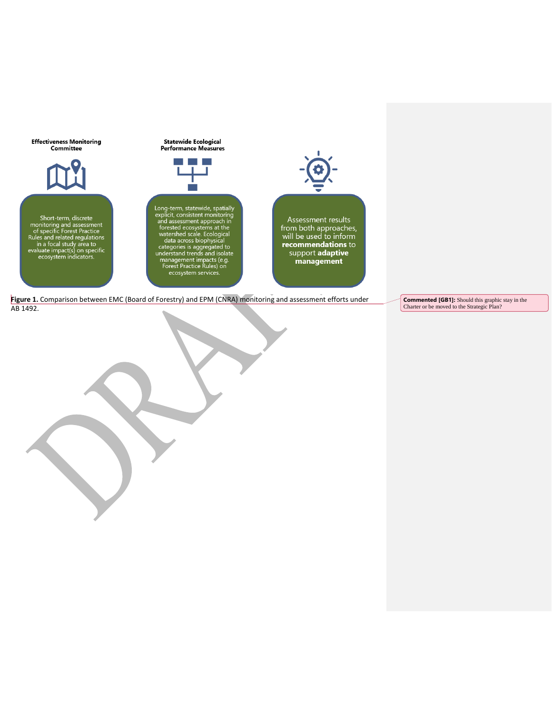

**Figure 1.** Comparison between EMC (Board of Forestry) and EPM (CNRA) monitoring and assessment efforts under AB 1492.

**Commented [GB1]:** Should this graphic stay in the Charter or be moved to the Strategic Plan?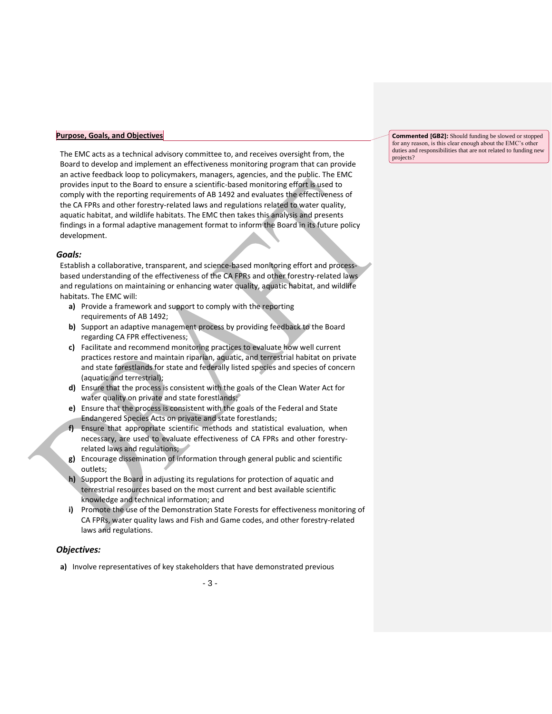#### **Purpose, Goals, and Objectives**

The EMC acts as a technical advisory committee to, and receives oversight from, the Board to develop and implement an effectiveness monitoring program that can provide an active feedback loop to policymakers, managers, agencies, and the public. The EMC provides input to the Board to ensure a scientific-based monitoring effort is used to comply with the reporting requirements of AB 1492 and evaluates the effectiveness of the CA FPRs and other forestry-related laws and regulations related to water quality, aquatic habitat, and wildlife habitats. The EMC then takes this analysis and presents findings in a formal adaptive management format to inform the Board in its future policy development.

## *Goals:*

Establish a collaborative, transparent, and science-based monitoring effort and processbased understanding of the effectiveness of the CA FPRs and other forestry-related laws and regulations on maintaining or enhancing water quality, aquatic habitat, and wildlife habitats. The EMC will:

- **a)** Provide a framework and support to comply with the reporting requirements of AB 1492;
- **b)** Support an adaptive management process by providing feedback to the Board regarding CA FPR effectiveness;
- **c)** Facilitate and recommend monitoring practices to evaluate how well current practices restore and maintain riparian, aquatic, and terrestrial habitat on private and state forestlands for state and federally listed species and species of concern (aquatic and terrestrial);
- **d)** Ensure that the process is consistent with the goals of the Clean Water Act for water quality on private and state forestlands;
- **e)** Ensure that the process is consistent with the goals of the Federal and State Endangered Species Acts on private and state forestlands;
- **f)** Ensure that appropriate scientific methods and statistical evaluation, when necessary, are used to evaluate effectiveness of CA FPRs and other forestryrelated laws and regulations;
- **g)** Encourage dissemination of information through general public and scientific outlets;
- **h)** Support the Board in adjusting its regulations for protection of aquatic and terrestrial resources based on the most current and best available scientific knowledge and technical information; and
- **i)** Promote the use of the Demonstration State Forests for effectiveness monitoring of CA FPRs, water quality laws and Fish and Game codes, and other forestry-related laws and regulations.

# *Objectives:*

**a)** Involve representatives of key stakeholders that have demonstrated previous

**Commented [GB2]:** Should funding be slowed or stopped for any reason, is this clear enough about the EMC's other duties and responsibilities that are not related to funding new projects?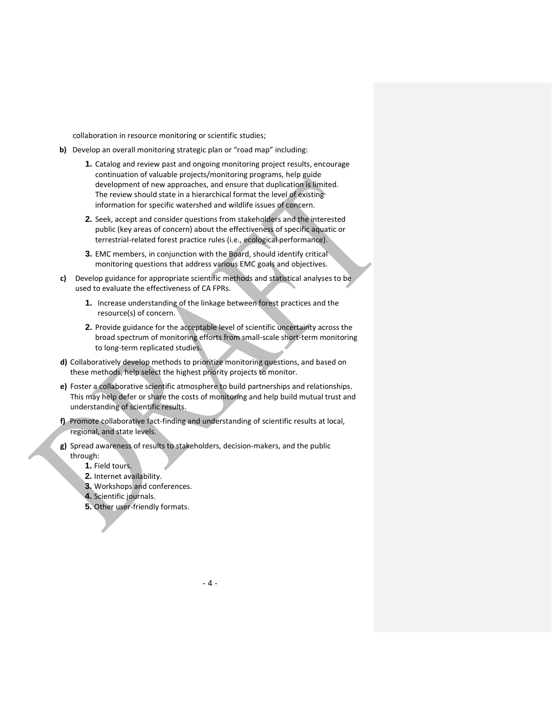collaboration in resource monitoring or scientific studies;

- **b)** Develop an overall monitoring strategic plan or "road map" including:
	- **1.** Catalog and review past and ongoing monitoring project results, encourage continuation of valuable projects/monitoring programs, help guide development of new approaches, and ensure that duplication is limited. The review should state in a hierarchical format the level of existing information for specific watershed and wildlife issues of concern.
	- **2.** Seek, accept and consider questions from stakeholders and the interested public (key areas of concern) about the effectiveness of specific aquatic or terrestrial-related forest practice rules (i.e., ecological performance).
	- **3.** EMC members, in conjunction with the Board, should identify critical monitoring questions that address various EMC goals and objectives.
- **c)** Develop guidance for appropriate scientific methods and statistical analyses to be used to evaluate the effectiveness of CA FPRs.
	- **1.** Increase understanding of the linkage between forest practices and the resource(s) of concern.
	- **2.** Provide guidance for the acceptable level of scientific uncertainty across the broad spectrum of monitoring efforts from small-scale short-term monitoring to long-term replicated studies.
- **d)** Collaboratively develop methods to prioritize monitoring questions, and based on these methods, help select the highest priority projects to monitor.
- **e)** Foster a collaborative scientific atmosphere to build partnerships and relationships. This may help defer or share the costs of monitoring and help build mutual trust and understanding of scientific results.
- **f)** Promote collaborative fact-finding and understanding of scientific results at local, regional, and state levels.
- **g)** Spread awareness of results to stakeholders, decision-makers, and the public through:
	- **1.** Field tours.
	- **2.** Internet availability.
	- **3.** Workshops and conferences.
	- **4.** Scientific journals.
	- **5.** Other user-friendly formats.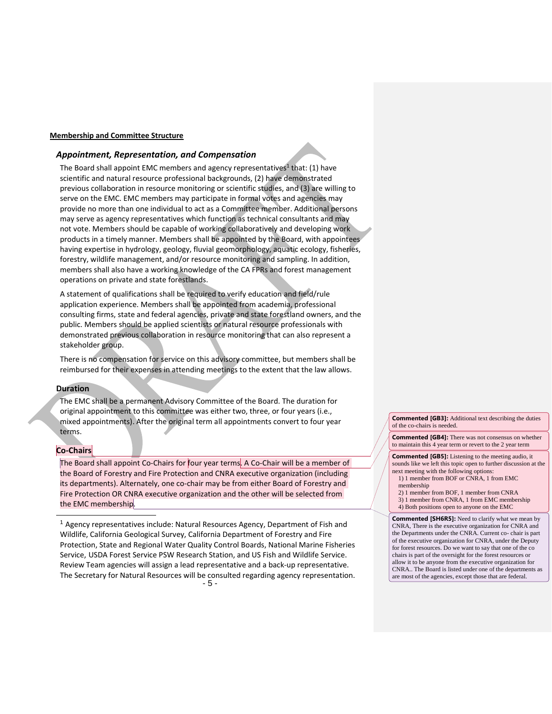#### **Membership and Committee Structure**

#### *Appointment, Representation, and Compensation*

The Board shall appoint EMC members and agency representatives<sup>1</sup> that: (1) have scientific and natural resource professional backgrounds, (2) have demonstrated previous collaboration in resource monitoring or scientific studies, and (3) are willing to serve on the EMC. EMC members may participate in formal votes and agencies may provide no more than one individual to act as a Committee member. Additional persons may serve as agency representatives which function as technical consultants and may not vote. Members should be capable of working collaboratively and developing work products in a timely manner. Members shall be appointed by the Board, with appointees having expertise in hydrology, geology, fluvial geomorphology, aquatic ecology, fisheries, forestry, wildlife management, and/or resource monitoring and sampling. In addition, members shall also have a working knowledge of the CA FPRs and forest management operations on private and state forestlands.

A statement of qualifications shall be required to verify education and field/rule application experience. Members shall be appointed from academia, professional consulting firms, state and federal agencies, private and state forestland owners, and the public. Members should be applied scientists or natural resource professionals with demonstrated previous collaboration in resource monitoring that can also represent a stakeholder group.

There is no compensation for service on this advisory committee, but members shall be reimbursed for their expenses in attending meetings to the extent that the law allows.

## **Duration**

The EMC shall be a permanent Advisory Committee of the Board. The duration for original appointment to this committee was either two, three, or four years (i.e., mixed appointments). After the original term all appointments convert to four year terms.

#### **Co-Chairs**

 $\overline{a}$ 

The Board shall appoint Co-Chairs for four year terms. A Co-Chair will be a member of the Board of Forestry and Fire Protection and CNRA executive organization (including its departments). Alternately, one co-chair may be from either Board of Forestry and Fire Protection OR CNRA executive organization and the other will be selected from the EMC membership.

- 5 - <sup>1</sup> Agency representatives include: Natural Resources Agency, Department of Fish and Wildlife, California Geological Survey, California Department of Forestry and Fire Protection, State and Regional Water Quality Control Boards, National Marine Fisheries Service, USDA Forest Service PSW Research Station, and US Fish and Wildlife Service. Review Team agencies will assign a lead representative and a back-up representative. The Secretary for Natural Resources will be consulted regarding agency representation.

**Commented [GB3]:** Additional text describing the duties of the co-chairs is needed.

**Commented [GB4]:** There was not consensus on whether to maintain this 4 year term or revert to the 2 year term

**Commented [GB5]:** Listening to the meeting audio, it sounds like we left this topic open to further discussion at the next meeting with the following options: 1) 1 member from BOF or CNRA, 1 from EMC

membership 2) 1 member from BOF, 1 member from CNRA

3) 1 member from CNRA, 1 from EMC membership 4) Both positions open to anyone on the EMC

**Commented [SH6R5]:** Need to clarify what we mean by CNRA, There is the executive organization for CNRA and the Departments under the CNRA. Current co- chair is part of the executive organization for CNRA, under the Deputy for forest resources. Do we want to say that one of the co chairs is part of the oversight for the forest resources or allow it to be anyone from the executive organization for CNRA.. The Board is listed under one of the departments as are most of the agencies, except those that are federal.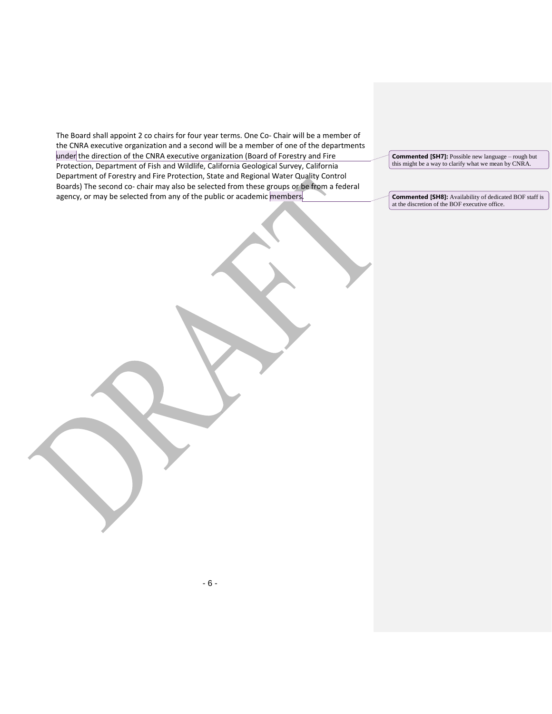The Board shall appoint 2 co chairs for four year terms. One Co- Chair will be a member of the CNRA executive organization and a second will be a member of one of the departments under the direction of the CNRA executive organization (Board of Forestry and Fire Protection, Department of Fish and Wildlife, California Geological Survey, California Department of Forestry and Fire Protection, State and Regional Water Quality Control Boards) The second co- chair may also be selected from these groups or be from a federal agency, or may be selected from any of the public or academic members.

**Commented [SH7]:** Possible new language – rough but this might be a way to clarify what we mean by CNRA.

**Commented [SH8]:** Availability of dedicated BOF staff is at the discretion of the BOF executive office.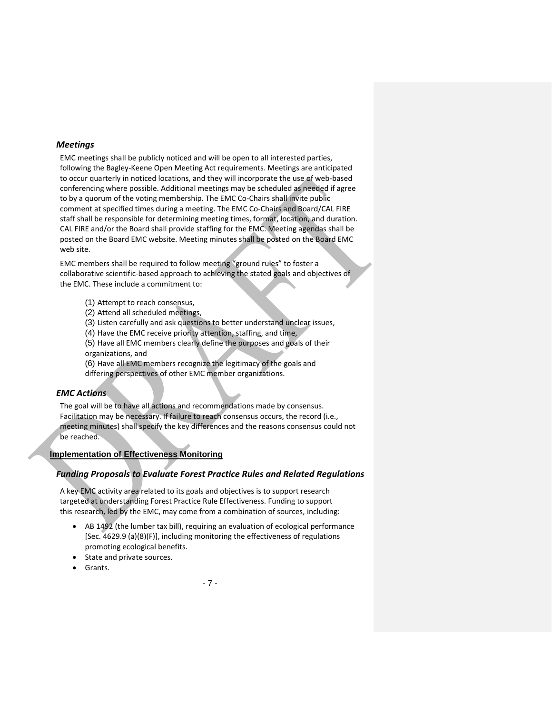## *Meetings*

EMC meetings shall be publicly noticed and will be open to all interested parties, following the Bagley-Keene Open Meeting Act requirements. Meetings are anticipated to occur quarterly in noticed locations, and they will incorporate the use of web-based conferencing where possible. Additional meetings may be scheduled as needed if agree to by a quorum of the voting membership. The EMC Co-Chairs shall invite public comment at specified times during a meeting. The EMC Co-Chairs and Board/CAL FIRE staff shall be responsible for determining meeting times, format, location, and duration. CAL FIRE and/or the Board shall provide staffing for the EMC. Meeting agendas shall be posted on the Board EMC website. Meeting minutes shall be posted on the Board EMC web site.

EMC members shall be required to follow meeting "ground rules" to foster a collaborative scientific-based approach to achieving the stated goals and objectives of the EMC. These include a commitment to:

- (1) Attempt to reach consensus,
- (2) Attend all scheduled meetings,
- (3) Listen carefully and ask questions to better understand unclear issues,
- (4) Have the EMC receive priority attention, staffing, and time,
- (5) Have all EMC members clearly define the purposes and goals of their organizations, and
- (6) Have all EMC members recognize the legitimacy of the goals and differing perspectives of other EMC member organizations.

# *EMC Actions*

The goal will be to have all actions and recommendations made by consensus. Facilitation may be necessary. If failure to reach consensus occurs, the record (i.e., meeting minutes) shall specify the key differences and the reasons consensus could not be reached.

# **Implementation of Effectiveness Monitoring**

# *Funding Proposals to Evaluate Forest Practice Rules and Related Regulations*

A key EMC activity area related to its goals and objectives is to support research targeted at understanding Forest Practice Rule Effectiveness. Funding to support this research, led by the EMC, may come from a combination of sources, including:

- AB 1492 (the lumber tax bill), requiring an evaluation of ecological performance [Sec. 4629.9 (a)(8)(F)], including monitoring the effectiveness of regulations promoting ecological benefits.
- State and private sources.
- Grants.